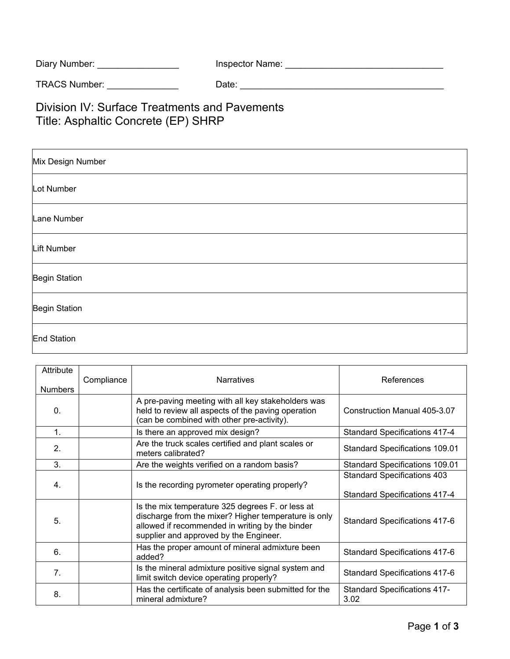| Diary Number: | Inspector Name: |
|---------------|-----------------|
|               |                 |

TRACS Number: \_\_\_\_\_\_\_\_\_\_\_\_\_\_ Date: \_\_\_\_\_\_\_\_\_\_\_\_\_\_\_\_\_\_\_\_\_\_\_\_\_\_\_\_\_\_\_\_\_\_\_\_\_\_\_\_

Division IV: Surface Treatments and Pavements Title: Asphaltic Concrete (EP) SHRP

| Mix Design Number    |
|----------------------|
| Lot Number           |
| Lane Number          |
| Lift Number          |
| Begin Station        |
| <b>Begin Station</b> |
| End Station          |

| Attribute<br><b>Numbers</b> | Compliance | <b>Narratives</b>                                                                                                                                                                                     | References                                                                 |
|-----------------------------|------------|-------------------------------------------------------------------------------------------------------------------------------------------------------------------------------------------------------|----------------------------------------------------------------------------|
| $\mathbf{0}$ .              |            | A pre-paving meeting with all key stakeholders was<br>held to review all aspects of the paving operation<br>(can be combined with other pre-activity).                                                | Construction Manual 405-3.07                                               |
| 1.                          |            | Is there an approved mix design?                                                                                                                                                                      | <b>Standard Specifications 417-4</b>                                       |
| 2.                          |            | Are the truck scales certified and plant scales or<br>meters calibrated?                                                                                                                              | <b>Standard Specifications 109.01</b>                                      |
| 3.                          |            | Are the weights verified on a random basis?                                                                                                                                                           | <b>Standard Specifications 109.01</b>                                      |
| 4.                          |            | Is the recording pyrometer operating properly?                                                                                                                                                        | <b>Standard Specifications 403</b><br><b>Standard Specifications 417-4</b> |
| 5.                          |            | Is the mix temperature 325 degrees F. or less at<br>discharge from the mixer? Higher temperature is only<br>allowed if recommended in writing by the binder<br>supplier and approved by the Engineer. | <b>Standard Specifications 417-6</b>                                       |
| 6.                          |            | Has the proper amount of mineral admixture been<br>added?                                                                                                                                             | <b>Standard Specifications 417-6</b>                                       |
| 7.                          |            | Is the mineral admixture positive signal system and<br>limit switch device operating properly?                                                                                                        | <b>Standard Specifications 417-6</b>                                       |
| 8.                          |            | Has the certificate of analysis been submitted for the<br>mineral admixture?                                                                                                                          | <b>Standard Specifications 417-</b><br>3.02                                |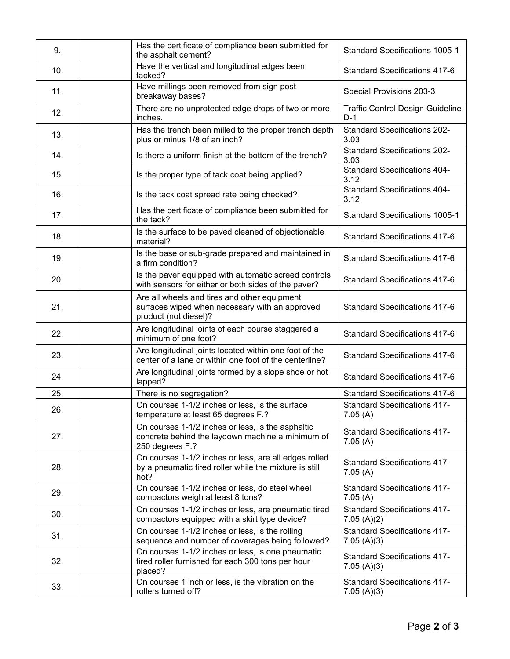| 9.  | Has the certificate of compliance been submitted for<br>the asphalt cement?                                              | <b>Standard Specifications 1005-1</b>             |
|-----|--------------------------------------------------------------------------------------------------------------------------|---------------------------------------------------|
| 10. | Have the vertical and longitudinal edges been<br>tacked?                                                                 | <b>Standard Specifications 417-6</b>              |
| 11. | Have millings been removed from sign post<br>breakaway bases?                                                            | Special Provisions 203-3                          |
| 12. | There are no unprotected edge drops of two or more<br>inches.                                                            | <b>Traffic Control Design Guideline</b><br>$D-1$  |
| 13. | Has the trench been milled to the proper trench depth<br>plus or minus 1/8 of an inch?                                   | <b>Standard Specifications 202-</b><br>3.03       |
| 14. | Is there a uniform finish at the bottom of the trench?                                                                   | <b>Standard Specifications 202-</b><br>3.03       |
| 15. | Is the proper type of tack coat being applied?                                                                           | <b>Standard Specifications 404-</b><br>3.12       |
| 16. | Is the tack coat spread rate being checked?                                                                              | <b>Standard Specifications 404-</b><br>3.12       |
| 17. | Has the certificate of compliance been submitted for<br>the tack?                                                        | <b>Standard Specifications 1005-1</b>             |
| 18. | Is the surface to be paved cleaned of objectionable<br>material?                                                         | <b>Standard Specifications 417-6</b>              |
| 19. | Is the base or sub-grade prepared and maintained in<br>a firm condition?                                                 | <b>Standard Specifications 417-6</b>              |
| 20. | Is the paver equipped with automatic screed controls<br>with sensors for either or both sides of the paver?              | <b>Standard Specifications 417-6</b>              |
| 21. | Are all wheels and tires and other equipment<br>surfaces wiped when necessary with an approved<br>product (not diesel)?  | <b>Standard Specifications 417-6</b>              |
| 22. | Are longitudinal joints of each course staggered a<br>minimum of one foot?                                               | <b>Standard Specifications 417-6</b>              |
| 23. | Are longitudinal joints located within one foot of the<br>center of a lane or within one foot of the centerline?         | <b>Standard Specifications 417-6</b>              |
| 24. | Are longitudinal joints formed by a slope shoe or hot<br>lapped?                                                         | <b>Standard Specifications 417-6</b>              |
| 25. | There is no segregation?                                                                                                 | <b>Standard Specifications 417-6</b>              |
| 26. | On courses 1-1/2 inches or less, is the surface<br>temperature at least 65 degrees F.?                                   | <b>Standard Specifications 417-</b><br>7.05(A)    |
| 27. | On courses 1-1/2 inches or less, is the asphaltic<br>concrete behind the laydown machine a minimum of<br>250 degrees F.? | <b>Standard Specifications 417-</b><br>7.05(A)    |
| 28. | On courses 1-1/2 inches or less, are all edges rolled<br>by a pneumatic tired roller while the mixture is still<br>hot?  | <b>Standard Specifications 417-</b><br>7.05(A)    |
| 29. | On courses 1-1/2 inches or less, do steel wheel<br>compactors weigh at least 8 tons?                                     | <b>Standard Specifications 417-</b><br>7.05(A)    |
| 30. | On courses 1-1/2 inches or less, are pneumatic tired<br>compactors equipped with a skirt type device?                    | <b>Standard Specifications 417-</b><br>7.05(A)(2) |
| 31. | On courses 1-1/2 inches or less, is the rolling<br>sequence and number of coverages being followed?                      | <b>Standard Specifications 417-</b><br>7.05(A)(3) |
| 32. | On courses 1-1/2 inches or less, is one pneumatic<br>tired roller furnished for each 300 tons per hour<br>placed?        | <b>Standard Specifications 417-</b><br>7.05(A)(3) |
| 33. | On courses 1 inch or less, is the vibration on the<br>rollers turned off?                                                | <b>Standard Specifications 417-</b><br>7.05(A)(3) |